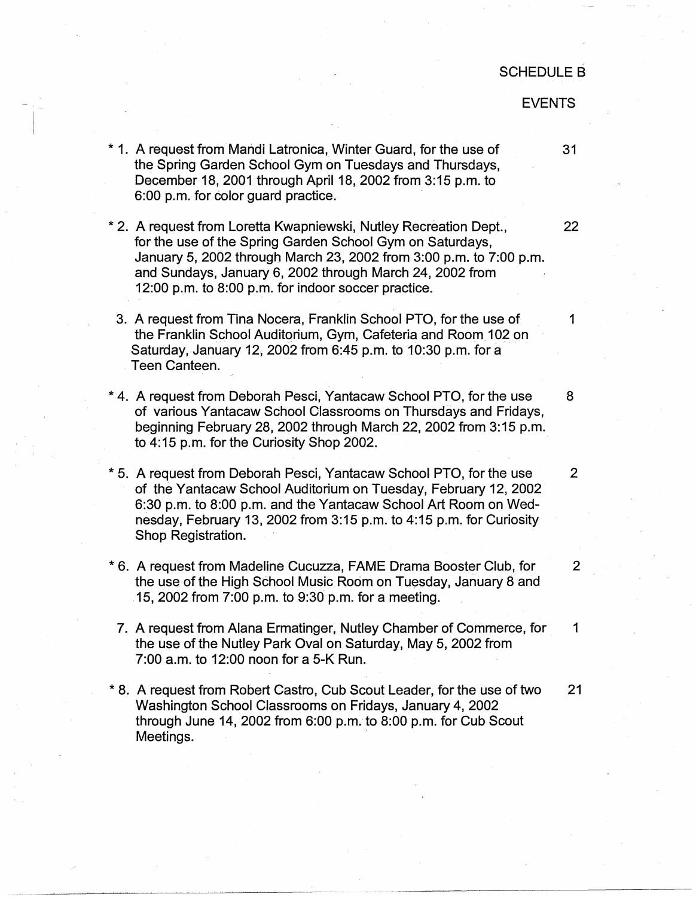## SCHEDULE B

## EVENTS

- \* 1. A request from Mandi Latronica, Winter Guard, for the use of 31 the Spring Garden School Gym on Tuesdays and Thursdays, December 18, 2001 through April 18, 2002 from 3:15 p.m. to 6:00 p.m. for color guard practice.
- \* 2. A request from Loretta Kwapniewski, Nutley Recreation Dept., 22 for the use of the Spring Garden School Gym on Saturdays, January 5, 2002 through March 23, 2002 from 3:00 p.m. to 7:00 p.m. and Sundays, January 6, 2002 through March 24, 2002 from 12:00 p.m. to 8:00 p.m. for indoor soccer practice.
- 3. A request from Tina Nocera, Franklin School PTO, for the use of 1 the Franklin School Auditorium, Gym, Cafeteria and Room 102 on Saturday, January 12, 2002 from 6:45 p.m. to 10:30 p.m. for a Teen Canteen.
- \* 4. A request from Deborah Pesci, Yantacaw School PTO, for the use 8 of various Yantacaw School Classrooms on Thursdays and Fridays, beginning February 28, 2002 through March 22, 2002 from 3:15 p.m. to 4:15 p.m. for the Curiosity Shop 2002.
- \* 5. A request from Deborah Pesci, Yantacaw School PTO, for the use 2 of the Yantacaw School Auditorium on Tuesday, February 12, 2002 6:30 p.m. to 8:00 p.m. and the Yantacaw School Art Room on Wednesday, February 13, 2002 from 3:15 p.m. to 4:15 p.m. for Curiosity Shop Registration.
- \* 6. A request from Madeline Cucuzza, FAME Drama Booster Club, for 2 the use of the High School Music Room on Tuesday, January 8 and 15, 2002 from 7:00 p.m. to 9:30 p.m. for a meeting.
- 7. A request from Alana Ermatinger, Nutley Chamber of Commerce, for 1 the use of the Nutley Park Oval on Saturday, May 5, 2002 from 7:00 a.m. to 12:00 noon for a 5-K Run.
- \* 8. A request from Robert Castro, Cub Scout Leader, for the use of two 21 Washington School Classrooms on Fridays, January 4, 2002 through June 14, 2002 from 6:00 p.m. to 8:00 p.m. for Cub Scout Meetings.